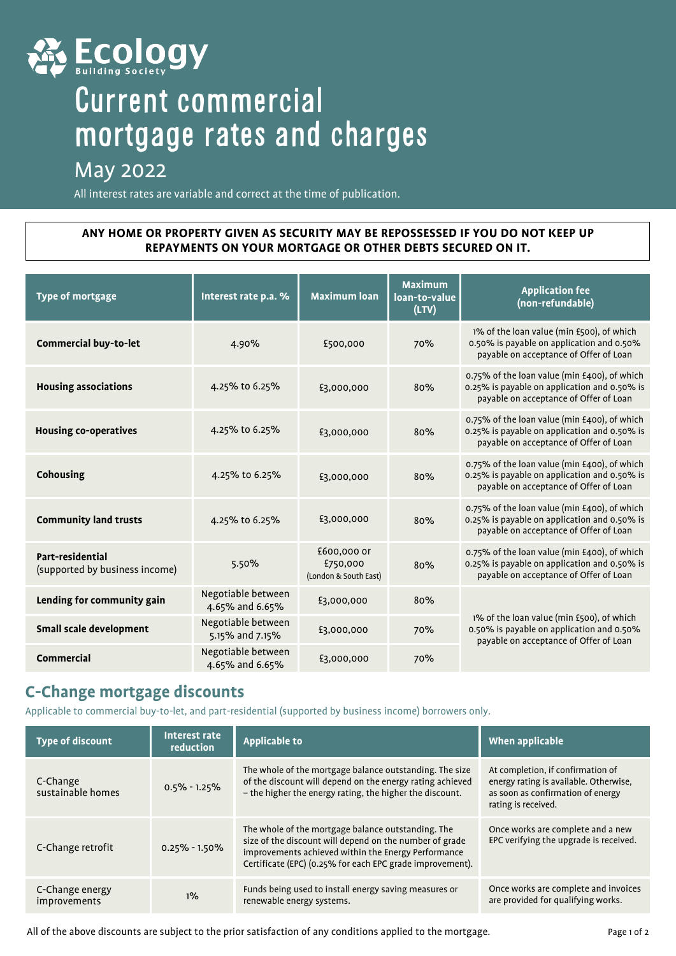

# Current commercial mortgage rates and charges

# May 2022

All interest rates are variable and correct at the time of publication.

### **ANY HOME OR PROPERTY GIVEN AS SECURITY MAY BE REPOSSESSED IF YOU DO NOT KEEP UP REPAYMENTS ON YOUR MORTGAGE OR OTHER DEBTS SECURED ON IT.**

| <b>Type of mortgage</b>                            | Interest rate p.a. %                  | <b>Maximum loan</b>                              | <b>Maximum</b><br>loan-to-value<br>(LTV) | <b>Application fee</b><br>(non-refundable)                                                                                             |  |
|----------------------------------------------------|---------------------------------------|--------------------------------------------------|------------------------------------------|----------------------------------------------------------------------------------------------------------------------------------------|--|
| Commercial buy-to-let                              | 4.90%                                 | £500,000                                         | 70%                                      | 1% of the loan value (min £500), of which<br>0.50% is payable on application and 0.50%<br>payable on acceptance of Offer of Loan       |  |
| <b>Housing associations</b>                        | 4.25% to 6.25%                        | £3,000,000                                       | 80%                                      | 0.75% of the loan value (min £400), of which<br>0.25% is payable on application and 0.50% is<br>payable on acceptance of Offer of Loan |  |
| <b>Housing co-operatives</b>                       | 4.25% to 6.25%                        | £3,000,000                                       | 80%                                      | 0.75% of the loan value (min £400), of which<br>0.25% is payable on application and 0.50% is<br>payable on acceptance of Offer of Loan |  |
| <b>Cohousing</b>                                   | 4.25% to 6.25%                        | £3,000,000                                       | 80%                                      | 0.75% of the loan value (min £400), of which<br>0.25% is payable on application and 0.50% is<br>payable on acceptance of Offer of Loan |  |
| <b>Community land trusts</b>                       | 4.25% to 6.25%                        | £3,000,000                                       | 80%                                      | 0.75% of the loan value (min £400), of which<br>0.25% is payable on application and 0.50% is<br>payable on acceptance of Offer of Loan |  |
| Part-residential<br>(supported by business income) | 5.50%                                 | £600,000 or<br>£750,000<br>(London & South East) | 80%                                      | 0.75% of the loan value (min £400), of which<br>0.25% is payable on application and 0.50% is<br>payable on acceptance of Offer of Loan |  |
| Lending for community gain                         | Negotiable between<br>4.65% and 6.65% | £3,000,000                                       | 80%                                      |                                                                                                                                        |  |
| Small scale development                            | Negotiable between<br>5.15% and 7.15% | £3,000,000                                       | 70%                                      | 1% of the loan value (min £500), of which<br>0.50% is payable on application and 0.50%<br>payable on acceptance of Offer of Loan       |  |
| Commercial                                         | Negotiable between<br>4.65% and 6.65% | £3,000,000                                       | 70%                                      |                                                                                                                                        |  |

# **C-Change mortgage discounts**

Applicable to commercial buy-to-let, and part-residential (supported by business income) borrowers only.

| <b>Type of discount</b>         | Interest rate<br>reduction | Applicable to                                                                                                                                                                                                                     | When applicable                                                                                                                         |
|---------------------------------|----------------------------|-----------------------------------------------------------------------------------------------------------------------------------------------------------------------------------------------------------------------------------|-----------------------------------------------------------------------------------------------------------------------------------------|
| C-Change<br>sustainable homes   | $0.5\% - 1.25\%$           | The whole of the mortgage balance outstanding. The size<br>of the discount will depend on the energy rating achieved<br>- the higher the energy rating, the higher the discount.                                                  | At completion, if confirmation of<br>energy rating is available. Otherwise,<br>as soon as confirmation of energy<br>rating is received. |
| C-Change retrofit               | $0.25\% - 1.50\%$          | The whole of the mortgage balance outstanding. The<br>size of the discount will depend on the number of grade<br>improvements achieved within the Energy Performance<br>Certificate (EPC) (0.25% for each EPC grade improvement). | Once works are complete and a new<br>EPC verifying the upgrade is received.                                                             |
| C-Change energy<br>improvements | $1\%$                      | Funds being used to install energy saving measures or<br>renewable energy systems.                                                                                                                                                | Once works are complete and invoices<br>are provided for qualifying works.                                                              |

All of the above discounts are subject to the prior satisfaction of any conditions applied to the mortgage.